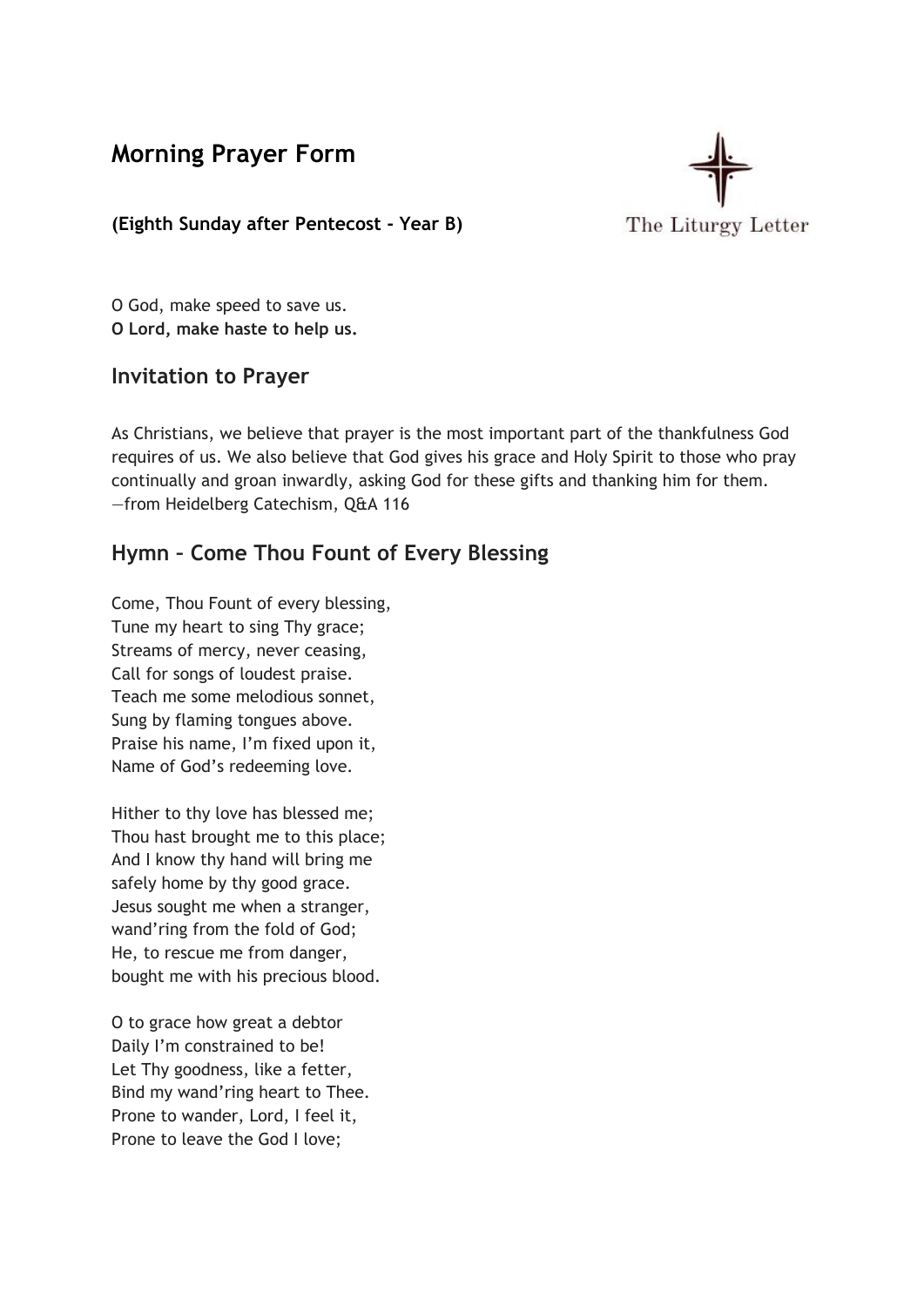**Morning Prayer Form**



### **(Eighth Sunday after Pentecost - Year B)**

O God, make speed to save us. **O Lord, make haste to help us.**

### **Invitation to Prayer**

As Christians, we believe that prayer is the most important part of the thankfulness God requires of us. We also believe that God gives his grace and Holy Spirit to those who pray continually and groan inwardly, asking God for these gifts and thanking him for them. —from Heidelberg Catechism, Q&A 116

## **Hymn – Come Thou Fount of Every Blessing**

Come, Thou Fount of every blessing, Tune my heart to sing Thy grace; Streams of mercy, never ceasing, Call for songs of loudest praise. Teach me some melodious sonnet, Sung by flaming tongues above. Praise his name, I'm fixed upon it, Name of God's redeeming love.

Hither to thy love has blessed me; Thou hast brought me to this place; And I know thy hand will bring me safely home by thy good grace. Jesus sought me when a stranger, wand'ring from the fold of God; He, to rescue me from danger, bought me with his precious blood.

O to grace how great a debtor Daily I'm constrained to be! Let Thy goodness, like a fetter, Bind my wand'ring heart to Thee. Prone to wander, Lord, I feel it, Prone to leave the God I love;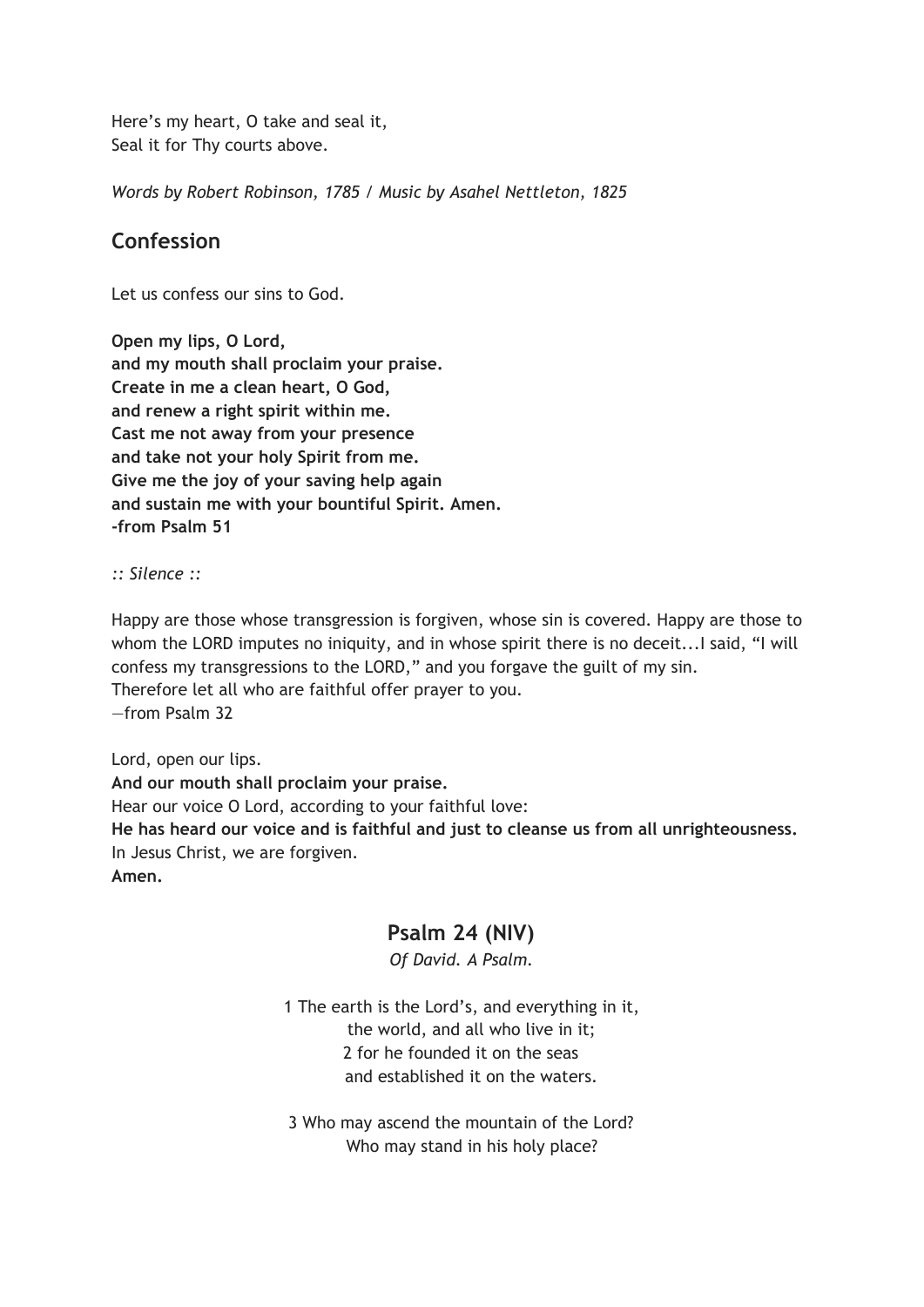Here's my heart, O take and seal it, Seal it for Thy courts above.

*Words by Robert Robinson, 1785 / Music by Asahel Nettleton, 1825*

## **Confession**

Let us confess our sins to God.

**Open my lips, O Lord, and my mouth shall proclaim your praise. Create in me a clean heart, O God, and renew a right spirit within me. Cast me not away from your presence and take not your holy Spirit from me. Give me the joy of your saving help again and sustain me with your bountiful Spirit. Amen. -from Psalm 51**

*:: Silence ::*

Happy are those whose transgression is forgiven, whose sin is covered. Happy are those to whom the LORD imputes no iniquity, and in whose spirit there is no deceit... I said, "I will confess my transgressions to the LORD," and you forgave the guilt of my sin. Therefore let all who are faithful offer prayer to you. —from Psalm 32

Lord, open our lips. **And our mouth shall proclaim your praise.** Hear our voice O Lord, according to your faithful love: **He has heard our voice and is faithful and just to cleanse us from all unrighteousness.** In Jesus Christ, we are forgiven. **Amen.**

## **Psalm 24 (NIV)**

*Of David. A Psalm.*

1 The earth is the Lord's, and everything in it, the world, and all who live in it; 2 for he founded it on the seas and established it on the waters.

3 Who may ascend the mountain of the Lord? Who may stand in his holy place?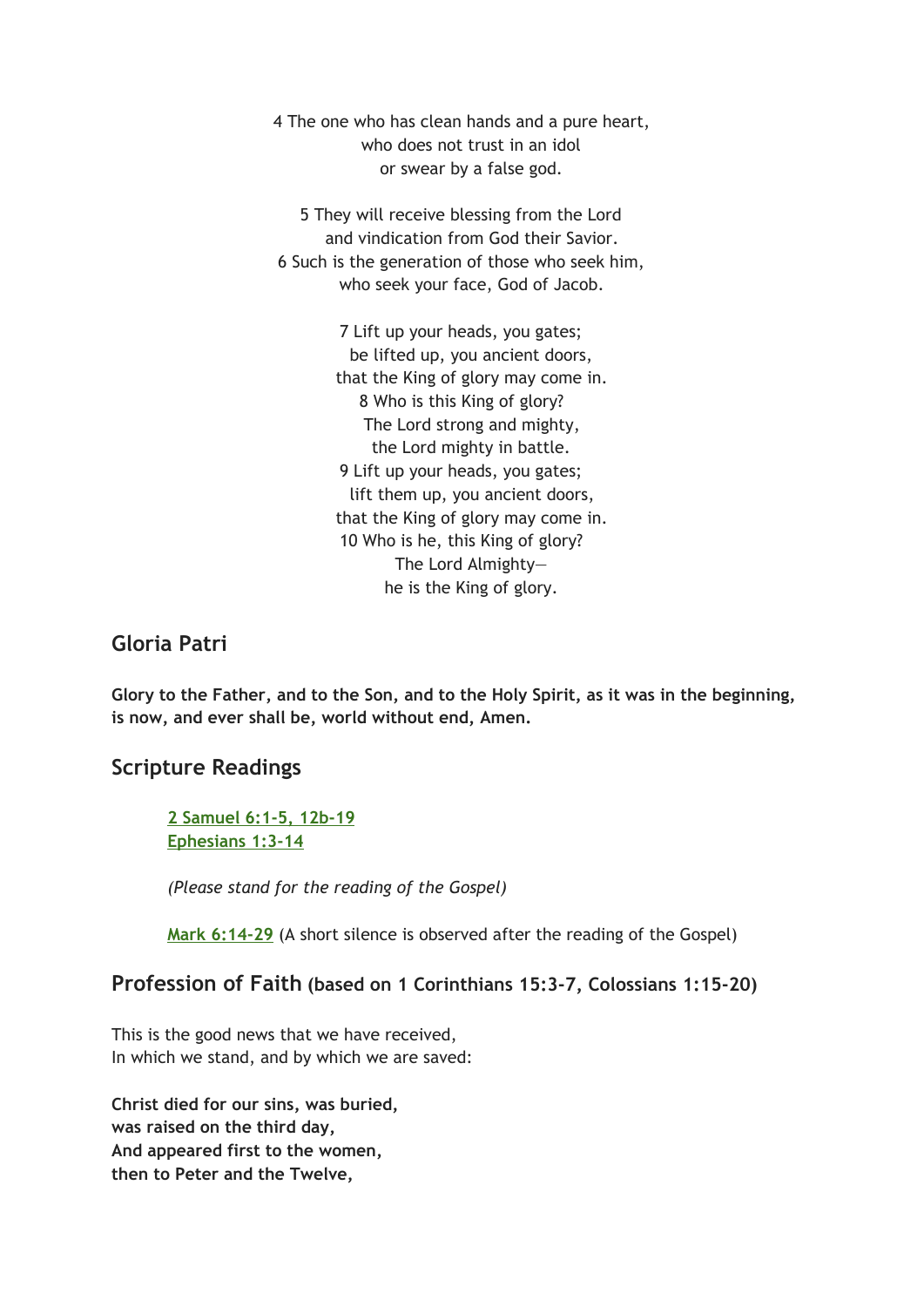4 The one who has clean hands and a pure heart, who does not trust in an idol or swear by a false god.

5 They will receive blessing from the Lord and vindication from God their Savior. 6 Such is the generation of those who seek him, who seek your face, God of Jacob.

> 7 Lift up your heads, you gates; be lifted up, you ancient doors, that the King of glory may come in. 8 Who is this King of glory? The Lord strong and mighty, the Lord mighty in battle. 9 Lift up your heads, you gates; lift them up, you ancient doors, that the King of glory may come in. 10 Who is he, this King of glory? The Lord Almighty he is the King of glory.

### **Gloria Patri**

**Glory to the Father, and to the Son, and to the Holy Spirit, as it was in the beginning, is now, and ever shall be, world without end, Amen.**

### **Scripture Readings**

**2 [Samuel](https://www.biblegateway.com/passage/?search=2+Samuel+6%3A1-5%2C+12b-19%3BEphesians+1%3A3-14%3BMark+6%3A14-29&version=NIV) 6:1-5, 12b-19 [Ephesians](https://www.biblegateway.com/passage/?search=2+Samuel+6%3A1-5%2C+12b-19%3BEphesians+1%3A3-14%3BMark+6%3A14-29&version=NIV) 1:3-14**

*(Please stand for the reading of the Gospel)*

**Mark [6:14-29](https://www.biblegateway.com/passage/?search=2+Samuel+6%3A1-5%2C+12b-19%3BEphesians+1%3A3-14%3BMark+6%3A14-29&version=NIV)** (A short silence is observed after the reading of the Gospel)

### **Profession of Faith (based on 1 Corinthians 15:3-7, Colossians 1:15-20)**

This is the good news that we have received, In which we stand, and by which we are saved:

**Christ died for our sins, was buried, was raised on the third day, And appeared first to the women, then to Peter and the Twelve,**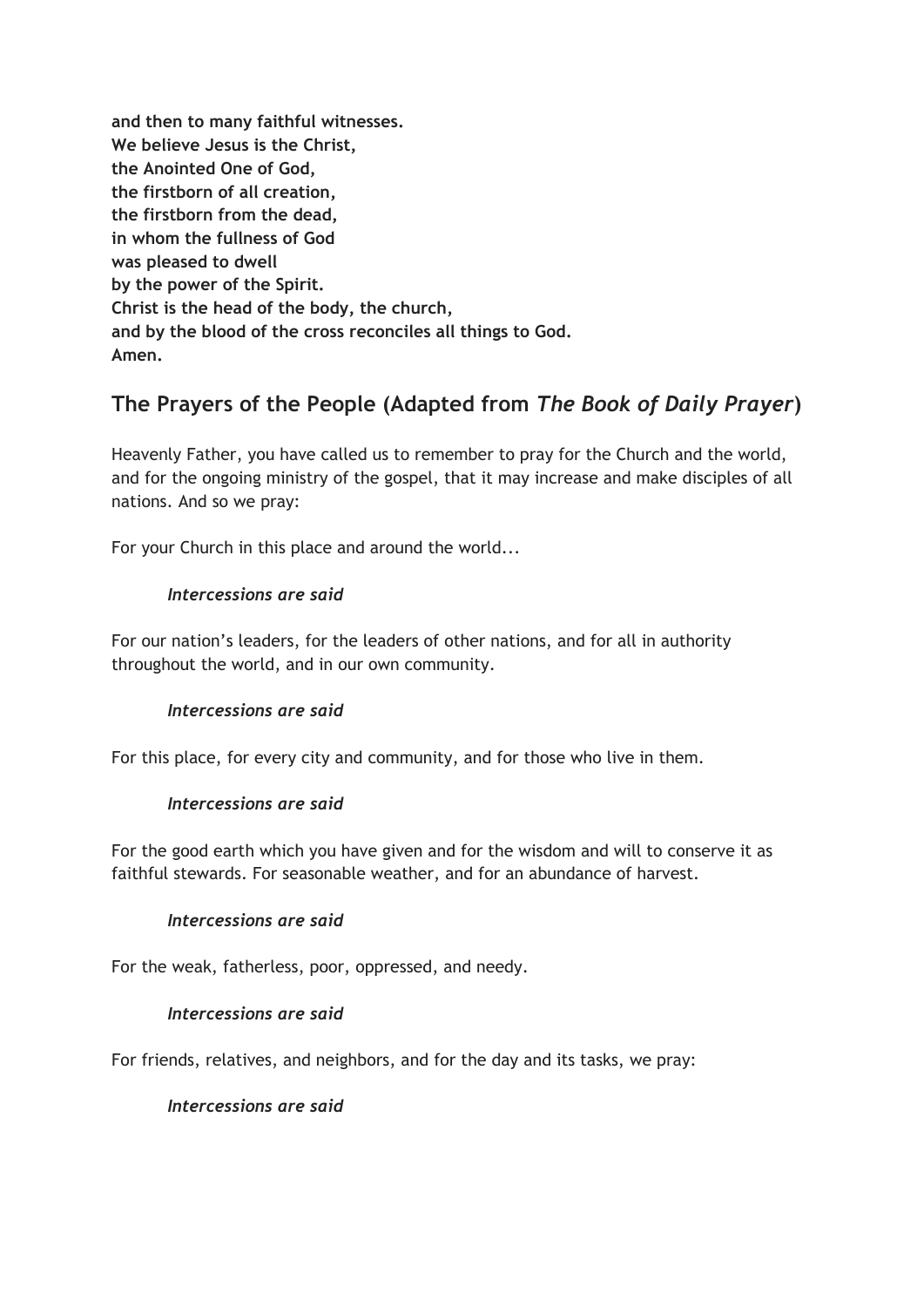**and then to many faithful witnesses. We believe Jesus is the Christ, the Anointed One of God, the firstborn of all creation, the firstborn from the dead, in whom the fullness of God was pleased to dwell by the power of the Spirit. Christ is the head of the body, the church, and by the blood of the cross reconciles all things to God. Amen.**

# **The Prayers of the People (Adapted from** *The Book of D aily Prayer***)**

Heavenly Father, you have called us to remember to pray for the Church and the world, and for the ongoing ministry of the gospel, that it may increase and make disciples of all nations. And so we pray:

For your Church in this place and around the world...

### *Intercessions are s aid*

For our nation's leaders, for the leaders of other nations, and for all in authority throughout the world, and in our own community.

#### *Intercessions are s aid*

For this place, for every city and community, and for those who live in them.

#### *Intercessions are s aid*

For the good earth which you have given and for the wisdom and will to conserve it as faithful stewards. For seasonable weather, and for an abundance of harvest.

#### *Intercessions are s aid*

For the weak, fatherless, poor, oppressed, and needy.

#### *Intercessions are s aid*

For friends, relatives, and neighbors, and for the day and its tasks, we pray:

#### *Intercessions are s aid*